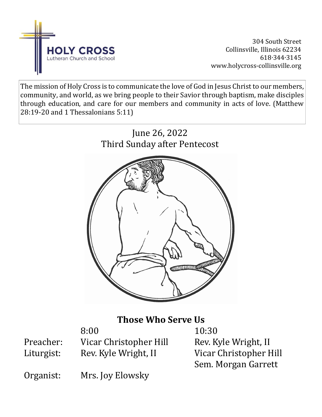

304 South Street Collinsville, Illinois 62234 618∙344∙3145 www.holycross-collinsville.org

The mission of Holy Cross is to communicate the love of God in Jesus Christ to our members, community, and world, as we bring people to their Savior through baptism, make disciples through education, and care for our members and community in acts of love. (Matthew 28:19-20 and 1 Thessalonians 5:11)



# **Those Who Serve Us**

8:00 10:30 Preacher: Vicar Christopher Hill Rev. Kyle Wright, II Liturgist: Rev. Kyle Wright, II Vicar Christopher Hill

Sem. Morgan Garrett

Organist: Mrs. Joy Elowsky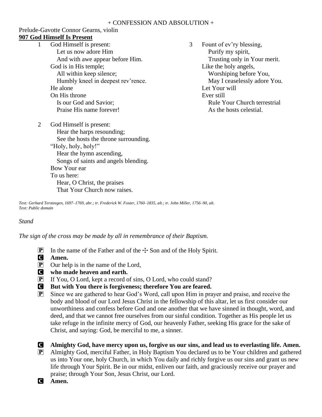### Prelude-Gavotte Connor Gearns, violin **907 God Himself Is Present**

- 1 God Himself is present: Let us now adore Him And with awe appear before Him. God is in His temple; All within keep silence; Humbly kneel in deepest rev'rence. He alone On His throne Is our God and Savior; Praise His name forever!
- 3 Fount of ev'ry blessing, Purify my spirit, Trusting only in Your merit. Like the holy angels, Worshiping before You, May I ceaselessly adore You. Let Your will Ever still Rule Your Church terrestrial As the hosts celestial.
- 2 God Himself is present: Hear the harps resounding; See the hosts the throne surrounding. "Holy, holy, holy!" Hear the hymn ascending, Songs of saints and angels blending. Bow Your ear To us here: Hear, O Christ, the praises That Your Church now raises.

*Text: Gerhard Tersteegen, 1697–1769, abr.; tr. Frederick W. Foster, 1760–1835, alt.; tr. John Miller, 1756–90, alt. Text: Public domain*

# *Stand*

*The sign of the cross may be made by all in remembrance of their Baptism.*

- **P** In the name of the Father and of the  $\pm$  Son and of the Holy Spirit.
- C **Amen.**
- $\overline{P}$  Our help is in the name of the Lord,
- C **who made heaven and earth.**
- P If You, O Lord, kept a record of sins, O Lord, who could stand?
- C **But with You there is forgiveness; therefore You are feared.**
- $\boxed{\mathbf{P}}$  Since we are gathered to hear God's Word, call upon Him in prayer and praise, and receive the body and blood of our Lord Jesus Christ in the fellowship of this altar, let us first consider our unworthiness and confess before God and one another that we have sinned in thought, word, and deed, and that we cannot free ourselves from our sinful condition. Together as His people let us take refuge in the infinite mercy of God, our heavenly Father, seeking His grace for the sake of Christ, and saying: God, be merciful to me, a sinner.
- C **Almighty God, have mercy upon us, forgive us our sins, and lead us to everlasting life. Amen.** P Almighty God, merciful Father, in Holy Baptism You declared us to be Your children and gathered us into Your one, holy Church, in which You daily and richly forgive us our sins and grant us new
	- life through Your Spirit. Be in our midst, enliven our faith, and graciously receive our prayer and praise; through Your Son, Jesus Christ, our Lord.

C **Amen.**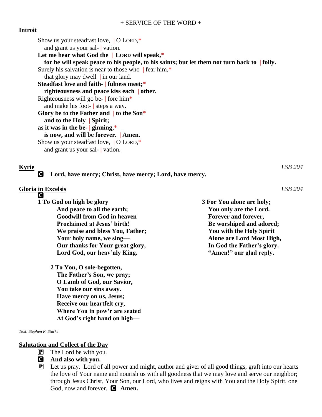# **Introit**

Show us your steadfast love, | O LORD,\* and grant us your sal- | vation. **Let me hear what God the** | **LORD will speak,**\* **for he will speak peace to his people, to his saints; but let them not turn back to** | **folly.** Surely his salvation is near to those who  $\parallel$  fear him,\* that glory may dwell  $\vert$  in our land. **Steadfast love and faith-** | **fulness meet;**\* **righteousness and peace kiss each** | **other.** Righteousness will go be- | fore him\* and make his foot- | steps a way. **Glory be to the Father and** | **to the Son**\* **and to the Holy** | **Spirit; as it was in the be-** | **ginning,**\* **is now, and will be forever.** | **Amen.** Show us your steadfast love, | O LORD,\* and grant us your sal- | vation.

C **Lord, have mercy; Christ, have mercy; Lord, have mercy.**

### **Gloria in Excelsis** *LSB 204* **C**

- **1 To God on high be glory And peace to all the earth; Goodwill from God in heaven Proclaimed at Jesus' birth! We praise and bless You, Father; Your holy name, we sing— Our thanks for Your great glory, Lord God, our heav'nly King.**
	- **2 To You, O sole-begotten, The Father's Son, we pray; O Lamb of God, our Savior, You take our sins away. Have mercy on us, Jesus; Receive our heartfelt cry, Where You in pow'r are seated At God's right hand on high—**

*Text: Stephen P. Starke*

### **Salutation and Collect of the Day**

- $\mathbf{P}$  The Lord be with you.
- C **And also with you.**
- P Let us pray. Lord of all power and might, author and giver of all good things, graft into our hearts the love of Your name and nourish us with all goodness that we may love and serve our neighbor; through Jesus Christ, Your Son, our Lord, who lives and reigns with You and the Holy Spirit, one God, now and forever. **C** Amen.

**Kyrie** *LSB 204*

**3 For You alone are holy; You only are the Lord. Forever and forever, Be worshiped and adored; You with the Holy Spirit Alone are Lord Most High, In God the Father's glory. "Amen!" our glad reply.**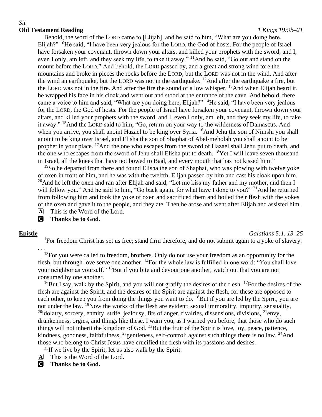### *Sit* **Old Testament Reading** *1 Kings 19:9b–21*

Behold, the word of the LORD came to [Elijah], and he said to him, "What are you doing here, Elijah?" <sup>10</sup>He said, "I have been very jealous for the LORD, the God of hosts. For the people of Israel have forsaken your covenant, thrown down your altars, and killed your prophets with the sword, and I, even I only, am left, and they seek my life, to take it away." <sup>11</sup>And he said, "Go out and stand on the mount before the LORD." And behold, the LORD passed by, and a great and strong wind tore the mountains and broke in pieces the rocks before the LORD, but the LORD was not in the wind. And after the wind an earthquake, but the LORD was not in the earthquake. <sup>12</sup>And after the earthquake a fire, but the LORD was not in the fire. And after the fire the sound of a low whisper. <sup>13</sup>And when Elijah heard it, he wrapped his face in his cloak and went out and stood at the entrance of the cave. And behold, there came a voice to him and said, "What are you doing here, Elijah?" <sup>14</sup>He said, "I have been very jealous for the LORD, the God of hosts. For the people of Israel have forsaken your covenant, thrown down your altars, and killed your prophets with the sword, and I, even I only, am left, and they seek my life, to take it away." <sup>15</sup>And the LORD said to him, "Go, return on your way to the wilderness of Damascus. And when you arrive, you shall anoint Hazael to be king over Syria. <sup>16</sup>And Jehu the son of Nimshi you shall anoint to be king over Israel, and Elisha the son of Shaphat of Abel-meholah you shall anoint to be prophet in your place. <sup>17</sup>And the one who escapes from the sword of Hazael shall Jehu put to death, and the one who escapes from the sword of Jehu shall Elisha put to death. <sup>18</sup>Yet I will leave seven thousand in Israel, all the knees that have not bowed to Baal, and every mouth that has not kissed him."

<sup>19</sup>So he departed from there and found Elisha the son of Shaphat, who was plowing with twelve yoke of oxen in front of him, and he was with the twelfth. Elijah passed by him and cast his cloak upon him. <sup>20</sup>And he left the oxen and ran after Elijah and said, "Let me kiss my father and my mother, and then I will follow you." And he said to him, "Go back again, for what have I done to you?" <sup>21</sup>And he returned from following him and took the yoke of oxen and sacrificed them and boiled their flesh with the yokes of the oxen and gave it to the people, and they ate. Then he arose and went after Elijah and assisted him. A This is the Word of the Lord.

C **Thanks be to God.**

. . .

## **Epistle** *Galatians 5:1, 13–25*

<sup>1</sup>For freedom Christ has set us free; stand firm therefore, and do not submit again to a yoke of slavery.

<sup>13</sup>For you were called to freedom, brothers. Only do not use your freedom as an opportunity for the flesh, but through love serve one another. <sup>14</sup>For the whole law is fulfilled in one word: "You shall love your neighbor as yourself." <sup>15</sup>But if you bite and devour one another, watch out that you are not consumed by one another.

 $16$ But I say, walk by the Spirit, and you will not gratify the desires of the flesh.  $17$ For the desires of the flesh are against the Spirit, and the desires of the Spirit are against the flesh, for these are opposed to each other, to keep you from doing the things you want to do. <sup>18</sup>But if you are led by the Spirit, you are not under the law. <sup>19</sup>Now the works of the flesh are evident: sexual immorality, impurity, sensuality,  $20$ idolatry, sorcery, enmity, strife, jealousy, fits of anger, rivalries, dissensions, divisions,  $21$ envy, drunkenness, orgies, and things like these. I warn you, as I warned you before, that those who do such things will not inherit the kingdom of God.  $^{22}$ But the fruit of the Spirit is love, joy, peace, patience, kindness, goodness, faithfulness, <sup>23</sup>gentleness, self-control; against such things there is no law. <sup>24</sup>And those who belong to Christ Jesus have crucified the flesh with its passions and desires.

<sup>25</sup>If we live by the Spirit, let us also walk by the Spirit.

- A This is the Word of the Lord.
- C **Thanks be to God.**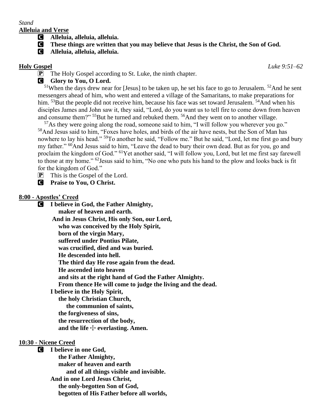# *Stand*

**Alleluia and Verse**

- C **Alleluia, alleluia, alleluia.**
- C **These things are written that you may believe that Jesus is the Christ, the Son of God.**
- C **Alleluia, alleluia, alleluia.**

**Holy Gospel** *Luke 9:51–62*

**P** The Holy Gospel according to St. Luke, the ninth chapter.

# **G** Glory to You, O Lord.

 $51$ When the days drew near for [Jesus] to be taken up, he set his face to go to Jerusalem.  $52$ And he sent messengers ahead of him, who went and entered a village of the Samaritans, to make preparations for him. <sup>53</sup>But the people did not receive him, because his face was set toward Jerusalem. <sup>54</sup>And when his disciples James and John saw it, they said, "Lord, do you want us to tell fire to come down from heaven and consume them?" <sup>55</sup>But he turned and rebuked them. <sup>56</sup>And they went on to another village.

 $57\text{As}$  they were going along the road, someone said to him, "I will follow you wherever you go." <sup>58</sup>And Jesus said to him, "Foxes have holes, and birds of the air have nests, but the Son of Man has nowhere to lay his head." <sup>59</sup>To another he said, "Follow me." But he said, "Lord, let me first go and bury my father." <sup>60</sup>And Jesus said to him, "Leave the dead to bury their own dead. But as for you, go and proclaim the kingdom of God." <sup>61</sup>Yet another said, "I will follow you, Lord, but let me first say farewell to those at my home." <sup>62</sup>Jesus said to him, "No one who puts his hand to the plow and looks back is fit for the kingdom of God."

- $\overline{P}$  This is the Gospel of the Lord.
- C **Praise to You, O Christ.**

# **8:00 - Apostles' Creed**

C **I believe in God, the Father Almighty, maker of heaven and earth. And in Jesus Christ, His only Son, our Lord, who was conceived by the Holy Spirit, born of the virgin Mary, suffered under Pontius Pilate, was crucified, died and was buried. He descended into hell. The third day He rose again from the dead. He ascended into heaven and sits at the right hand of God the Father Almighty. From thence He will come to judge the living and the dead. I believe in the Holy Spirit, the holy Christian Church, the communion of saints, the forgiveness of sins, the resurrection of the body,** and the life  $\div$  everlasting. Amen.

# **10:30 - Nicene Creed**

C **I believe in one God, the Father Almighty, maker of heaven and earth and of all things visible and invisible. And in one Lord Jesus Christ, the only-begotten Son of God, begotten of His Father before all worlds,**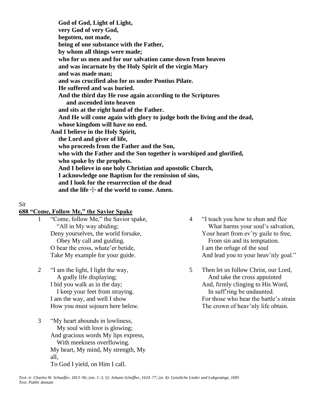**God of God, Light of Light, very God of very God, begotten, not made, being of one substance with the Father, by whom all things were made; who for us men and for our salvation came down from heaven and was incarnate by the Holy Spirit of the virgin Mary and was made man; and was crucified also for us under Pontius Pilate. He suffered and was buried. And the third day He rose again according to the Scriptures and ascended into heaven and sits at the right hand of the Father. And He will come again with glory to judge both the living and the dead, whose kingdom will have no end. And I believe in the Holy Spirit, the Lord and giver of life, who proceeds from the Father and the Son, who with the Father and the Son together is worshiped and glorified, who spoke by the prophets. And I believe in one holy Christian and apostolic Church, I acknowledge one Baptism for the remission of sins, and I look for the resurrection of the dead** and the life  $\div$  of the world to come. Amen.

# *Sit*

### **688 "Come, Follow Me," the Savior Spake**

- 1 "Come, follow Me," the Savior spake, "All in My way abiding; Deny yourselves, the world forsake, Obey My call and guiding. O bear the cross, whate'er betide, Take My example for your guide.
- 2 "I am the light, I light the way, A godly life displaying; I bid you walk as in the day; I keep your feet from straying. I am the way, and well I show How you must sojourn here below.
- 3 "My heart abounds in lowliness, My soul with love is glowing; And gracious words My lips express, With meekness overflowing. My heart, My mind, My strength, My all, To God I yield, on Him I call.
- 4 "I teach you how to shun and flee What harms your soul's salvation, Your heart from ev'ry guile to free, From sin and its temptation. I am the refuge of the soul And lead you to your heav'nly goal."
- 5 Then let us follow Christ, our Lord, And take the cross appointed And, firmly clinging to His Word, In suff'ring be undaunted. For those who bear the battle's strain The crown of heav'nly life obtain.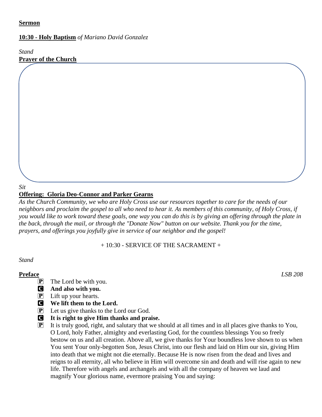# **Sermon**

# **10:30 - Holy Baptism** *of Mariano David Gonzalez*

*Stand* **Prayer of the Church**

# **Offering: Gloria Deo-Connor and Parker Gearns**

*As the Church Community, we who are Holy Cross use our resources together to care for the needs of our neighbors and proclaim the gospel to all who need to hear it. As members of this community, of Holy Cross, if you would like to work toward these goals, one way you can do this is by giving an offering through the plate in the back, through the mail, or through the "Donate Now" button on our website. Thank you for the time, prayers, and offerings you joyfully give in service of our neighbor and the gospel!*

 $\mathcal{L}$  Prayers have been requested for: Betty Schaulat, Mary Pratt, Sonja Yagow, Sue Hanratty, Ruth, Sue Hanratty, Ruth, Sonja Yagow, Sue Hanratty, Ruth, Sonja Yagow, Sue Hanratty, Ruth, Sonja Yagow, Sue Hanratty, Ruth,

# + 10:30 - SERVICE OF THE SACRAMENT +

## *Stand*

- $\overline{P}$  The Lord be with you.
- C **And also with you.**
- $\left| \mathbf{P} \right|$  Lift up your hearts.
- C **We lift them to the Lord.**
- P Let us give thanks to the Lord our God.
- C **It is right to give Him thanks and praise.**
- $\mathbf{P}$  It is truly good, right, and salutary that we should at all times and in all places give thanks to You, O Lord, holy Father, almighty and everlasting God, for the countless blessings You so freely bestow on us and all creation. Above all, we give thanks for Your boundless love shown to us when You sent Your only-begotten Son, Jesus Christ, into our flesh and laid on Him our sin, giving Him into death that we might not die eternally. Because He is now risen from the dead and lives and reigns to all eternity, all who believe in Him will overcome sin and death and will rise again to new life. Therefore with angels and archangels and with all the company of heaven we laud and magnify Your glorious name, evermore praising You and saying:

**Preface** *LSB 208*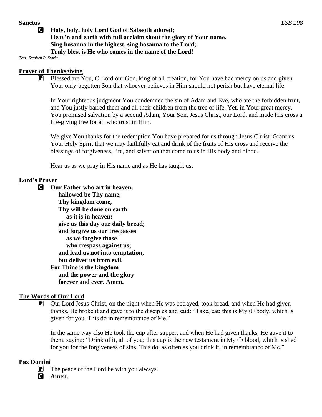# C **Holy, holy, holy Lord God of Sabaoth adored; Heav'n and earth with full acclaim shout the glory of Your name. Sing hosanna in the highest, sing hosanna to the Lord; Truly blest is He who comes in the name of the Lord!**

*Text: Stephen P. Starke*

# **Prayer of Thanksgiving**

 $\mathbf{P}$  Blessed are You, O Lord our God, king of all creation, for You have had mercy on us and given Your only-begotten Son that whoever believes in Him should not perish but have eternal life.

In Your righteous judgment You condemned the sin of Adam and Eve, who ate the forbidden fruit, and You justly barred them and all their children from the tree of life. Yet, in Your great mercy, You promised salvation by a second Adam, Your Son, Jesus Christ, our Lord, and made His cross a life-giving tree for all who trust in Him.

We give You thanks for the redemption You have prepared for us through Jesus Christ. Grant us Your Holy Spirit that we may faithfully eat and drink of the fruits of His cross and receive the blessings of forgiveness, life, and salvation that come to us in His body and blood.

Hear us as we pray in His name and as He has taught us:

# **Lord's Prayer**

C **Our Father who art in heaven, hallowed be Thy name, Thy kingdom come, Thy will be done on earth as it is in heaven; give us this day our daily bread; and forgive us our trespasses as we forgive those who trespass against us; and lead us not into temptation, but deliver us from evil. For Thine is the kingdom and the power and the glory forever and ever. Amen.**

# **The Words of Our Lord**

**P** Our Lord Jesus Christ, on the night when He was betrayed, took bread, and when He had given thanks, He broke it and gave it to the disciples and said: "Take, eat; this is  $My + body$ , which is given for you. This do in remembrance of Me."

In the same way also He took the cup after supper, and when He had given thanks, He gave it to them, saying: "Drink of it, all of you; this cup is the new testament in My  $+$  blood, which is shed for you for the forgiveness of sins. This do, as often as you drink it, in remembrance of Me."

## **Pax Domini**

 $[P]$  The peace of the Lord be with you always.

C **Amen.**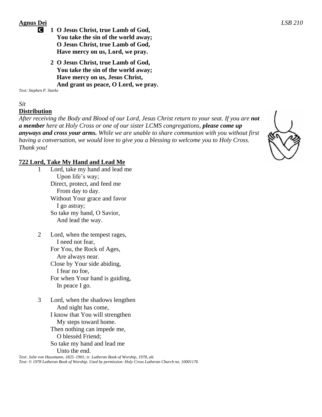# **Agnus Dei** *LSB 210*

- C **1 O Jesus Christ, true Lamb of God, You take the sin of the world away; O Jesus Christ, true Lamb of God, Have mercy on us, Lord, we pray.**
	- **2 O Jesus Christ, true Lamb of God, You take the sin of the world away; Have mercy on us, Jesus Christ, And grant us peace, O Lord, we pray.**

*Text: Stephen P. Starke*

# *Sit*

# **Distribution**

*After receiving the Body and Blood of our Lord, Jesus Christ return to your seat. If you are not a member here at Holy Cross or one of our sister LCMS congregations, please come up anyways and cross your arms. While we are unable to share communion with you without first having a conversation, we would love to give you a blessing to welcome you to Holy Cross. Thank you!* 

# **722 Lord, Take My Hand and Lead Me**

- 1 Lord, take my hand and lead me Upon life's way; Direct, protect, and feed me From day to day. Without Your grace and favor I go astray; So take my hand, O Savior, And lead the way.
- 2 Lord, when the tempest rages, I need not fear, For You, the Rock of Ages, Are always near. Close by Your side abiding, I fear no foe, For when Your hand is guiding, In peace I go.
- 3 Lord, when the shadows lengthen And night has come, I know that You will strengthen My steps toward home. Then nothing can impede me, O blessèd Friend; So take my hand and lead me Unto the end.

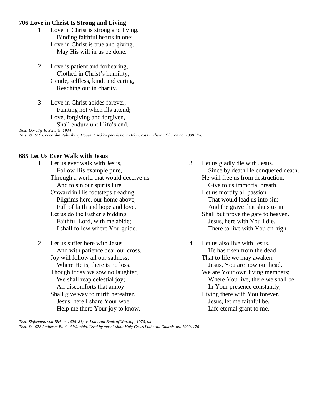### **706 Love in Christ Is Strong and Living**

- 1 Love in Christ is strong and living, Binding faithful hearts in one; Love in Christ is true and giving. May His will in us be done.
- 2 Love is patient and forbearing, Clothed in Christ's humility, Gentle, selfless, kind, and caring, Reaching out in charity.
- 3 Love in Christ abides forever, Fainting not when ills attend; Love, forgiving and forgiven, Shall endure until life's end.

*Text: Dorothy R. Schultz, 1934 Text: © 1979 Concordia Publishing House. Used by permission: Holy Cross Lutheran Church no. 10001176*

## **685 Let Us Ever Walk with Jesus**

- 1 Let us ever walk with Jesus, Follow His example pure, Through a world that would deceive us And to sin our spirits lure. Onward in His footsteps treading, Pilgrims here, our home above, Full of faith and hope and love, Let us do the Father's bidding. Faithful Lord, with me abide; I shall follow where You guide.
- 2 Let us suffer here with Jesus And with patience bear our cross. Joy will follow all our sadness; Where He is, there is no loss. Though today we sow no laughter, We shall reap celestial joy; All discomforts that annoy Shall give way to mirth hereafter. Jesus, here I share Your woe; Help me there Your joy to know.
- 3 Let us gladly die with Jesus. Since by death He conquered death, He will free us from destruction, Give to us immortal breath. Let us mortify all passion That would lead us into sin; And the grave that shuts us in Shall but prove the gate to heaven. Jesus, here with You I die, There to live with You on high.
- 4 Let us also live with Jesus. He has risen from the dead That to life we may awaken. Jesus, You are now our head. We are Your own living members; Where You live, there we shall be In Your presence constantly, Living there with You forever. Jesus, let me faithful be, Life eternal grant to me.

*Text: Sigismund von Birken, 1626–81; tr. Lutheran Book of Worship, 1978, alt. Text: © 1978 Lutheran Book of Worship. Used by permission: Holy Cross Lutheran Church no. 10001176*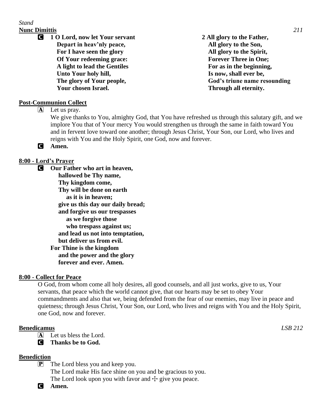# *Stand* **Nunc Dimittis** *211*

C **1 O Lord, now let Your servant Depart in heav'nly peace, For I have seen the glory Of Your redeeming grace: A light to lead the Gentiles Unto Your holy hill, The glory of Your people, Your chosen Israel.**

**2 All glory to the Father, All glory to the Son, All glory to the Spirit, Forever Three in One; For as in the beginning, Is now, shall ever be, God's triune name resounding Through all eternity.**

# **Post-Communion Collect**

 $\overline{A}$  Let us pray.

We give thanks to You, almighty God, that You have refreshed us through this salutary gift, and we implore You that of Your mercy You would strengthen us through the same in faith toward You and in fervent love toward one another; through Jesus Christ, Your Son, our Lord, who lives and reigns with You and the Holy Spirit, one God, now and forever.

C **Amen.**

# **8:00 - Lord's Prayer**

C **Our Father who art in heaven, hallowed be Thy name, Thy kingdom come, Thy will be done on earth as it is in heaven; give us this day our daily bread; and forgive us our trespasses as we forgive those who trespass against us; and lead us not into temptation, but deliver us from evil. For Thine is the kingdom and the power and the glory forever and ever. Amen.**

## **8:00 - Collect for Peace**

O God, from whom come all holy desires, all good counsels, and all just works, give to us, Your servants, that peace which the world cannot give, that our hearts may be set to obey Your commandments and also that we, being defended from the fear of our enemies, may live in peace and quietness; through Jesus Christ, Your Son, our Lord, who lives and reigns with You and the Holy Spirit, one God, now and forever.

### **Benedicamus** *LSB 212*

 $\overline{A}$  Let us bless the Lord.

C **Thanks be to God.**

## **Benediction**

- $\mathbf{P}$  The Lord bless you and keep you. The Lord make His face shine on you and be gracious to you. The Lord look upon you with favor and  $\pm$  give you peace.
- C **Amen.**